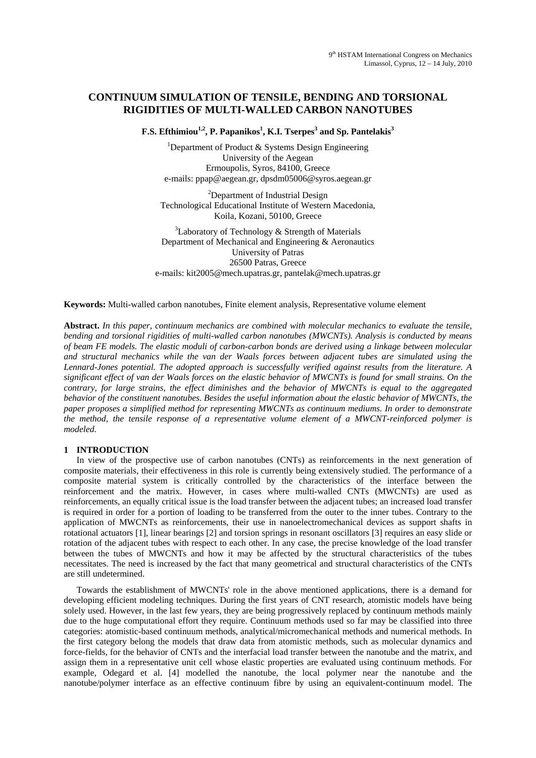# **CONTINUUM SIMULATION OF TENSILE, BENDING AND TORSIONAL RIGIDITIES OF MULTI-WALLED CARBON NANOTUBES**

**F.S. Efthimiou<sup>1,2</sup>, P. Papanikos<sup>1</sup>, K.I. Tserpes<sup>3</sup> and Sp. Pantelakis<sup>3</sup>** 

<sup>1</sup>Department of Product & Systems Design Engineering University of the Aegean Ermoupolis, Syros, 84100, Greece e-mails: ppap@aegean.gr, dpsdm05006@syros.aegean.gr

<sup>2</sup>Department of Industrial Design Technological Educational Institute of Western Macedonia, Koila, Kozani, 50100, Greece

 $3$ Laboratory of Technology & Strength of Materials Department of Mechanical and Engineering & Aeronautics University of Patras 26500 Patras, Greece e-mails: kit2005@mech.upatras.gr, pantelak@mech.upatras.gr

**Keywords:** Multi-walled carbon nanotubes, Finite element analysis, Representative volume element

**Abstract.** *In this paper, continuum mechanics are combined with molecular mechanics to evaluate the tensile, bending and torsional rigidities of multi-walled carbon nanotubes (MWCNTs). Analysis is conducted by means of beam FE models. The elastic moduli of carbon-carbon bonds are derived using a linkage between molecular and structural mechanics while the van der Waals forces between adjacent tubes are simulated using the Lennard-Jones potential. The adopted approach is successfully verified against results from the literature. A significant effect of van der Waals forces on the elastic behavior of MWCNTs is found for small strains. On the contrary, for large strains, the effect diminishes and the behavior of MWCNTs is equal to the aggregated behavior of the constituent nanotubes. Besides the useful information about the elastic behavior of MWCNTs, the paper proposes a simplified method for representing MWCNTs as continuum mediums. In order to demonstrate the method, the tensile response of a representative volume element of a MWCNT-reinforced polymer is modeled.* 

# **1 INTRODUCTION**

In view of the prospective use of carbon nanotubes (CNTs) as reinforcements in the next generation of composite materials, their effectiveness in this role is currently being extensively studied. The performance of a composite material system is critically controlled by the characteristics of the interface between the reinforcement and the matrix. However, in cases where multi-walled CNTs (MWCNTs) are used as reinforcements, an equally critical issue is the load transfer between the adjacent tubes; an increased load transfer is required in order for a portion of loading to be transferred from the outer to the inner tubes. Contrary to the application of MWCNTs as reinforcements, their use in nanoelectromechanical devices as support shafts in rotational actuators [1], linear bearings [2] and torsion springs in resonant oscillators [3] requires an easy slide or rotation of the adjacent tubes with respect to each other. In any case, the precise knowledge of the load transfer between the tubes of MWCNTs and how it may be affected by the structural characteristics of the tubes necessitates. The need is increased by the fact that many geometrical and structural characteristics of the CNTs are still undetermined.

Towards the establishment of MWCNTs' role in the above mentioned applications, there is a demand for developing efficient modeling techniques. During the first years of CNT research, atomistic models have being solely used. However, in the last few years, they are being progressively replaced by continuum methods mainly due to the huge computational effort they require. Continuum methods used so far may be classified into three categories: atomistic-based continuum methods, analytical/micromechanical methods and numerical methods. In the first category belong the models that draw data from atomistic methods, such as molecular dynamics and force-fields, for the behavior of CNTs and the interfacial load transfer between the nanotube and the matrix, and assign them in a representative unit cell whose elastic properties are evaluated using continuum methods. For example, Odegard et al. [4] modelled the nanotube, the local polymer near the nanotube and the nanotube/polymer interface as an effective continuum fibre by using an equivalent-continuum model. The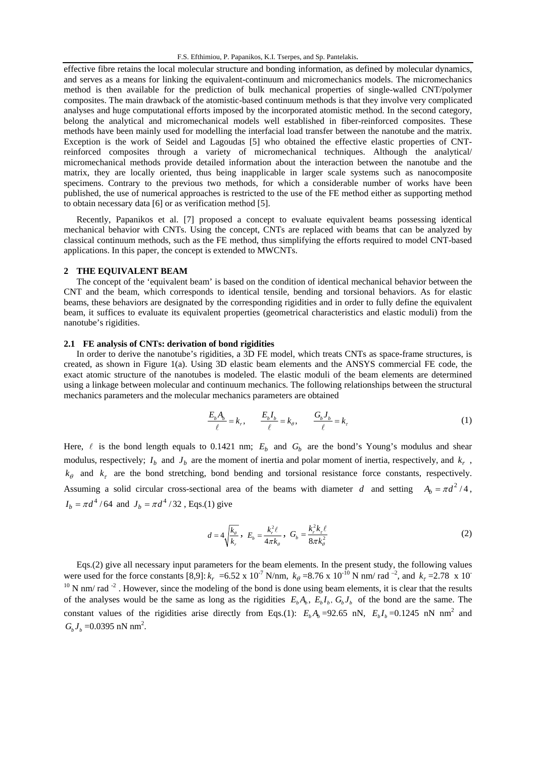effective fibre retains the local molecular structure and bonding information, as defined by molecular dynamics, and serves as a means for linking the equivalent-continuum and micromechanics models. The micromechanics method is then available for the prediction of bulk mechanical properties of single-walled CNT/polymer composites. The main drawback of the atomistic-based continuum methods is that they involve very complicated analyses and huge computational efforts imposed by the incorporated atomistic method. In the second category, belong the analytical and micromechanical models well established in fiber-reinforced composites. These methods have been mainly used for modelling the interfacial load transfer between the nanotube and the matrix. Exception is the work of Seidel and Lagoudas [5] who obtained the effective elastic properties of CNTreinforced composites through a variety of micromechanical techniques. Although the analytical/ micromechanical methods provide detailed information about the interaction between the nanotube and the matrix, they are locally oriented, thus being inapplicable in larger scale systems such as nanocomposite specimens. Contrary to the previous two methods, for which a considerable number of works have been published, the use of numerical approaches is restricted to the use of the FE method either as supporting method to obtain necessary data [6] or as verification method [5].

Recently, Papanikos et al. [7] proposed a concept to evaluate equivalent beams possessing identical mechanical behavior with CNTs. Using the concept, CNTs are replaced with beams that can be analyzed by classical continuum methods, such as the FE method, thus simplifying the efforts required to model CNT-based applications. In this paper, the concept is extended to MWCNTs.

## **2 THE EQUIVALENT BEAM**

The concept of the 'equivalent beam' is based on the condition of identical mechanical behavior between the CNT and the beam, which corresponds to identical tensile, bending and torsional behaviors. As for elastic beams, these behaviors are designated by the corresponding rigidities and in order to fully define the equivalent beam, it suffices to evaluate its equivalent properties (geometrical characteristics and elastic moduli) from the nanotube's rigidities.

## **2.1 FE analysis of CNTs: derivation of bond rigidities**

In order to derive the nanotube's rigidities, a 3D FE model, which treats CNTs as space-frame structures, is created, as shown in Figure 1(a). Using 3D elastic beam elements and the ANSYS commercial FE code, the exact atomic structure of the nanotubes is modeled. The elastic moduli of the beam elements are determined using a linkage between molecular and continuum mechanics. The following relationships between the structural mechanics parameters and the molecular mechanics parameters are obtained

$$
\frac{E_b A_b}{\ell} = k_r, \qquad \frac{E_b I_b}{\ell} = k_\theta, \qquad \frac{G_b J_b}{\ell} = k_\tau \tag{1}
$$

Here,  $\ell$  is the bond length equals to 0.1421 nm;  $E_b$  and  $G_b$  are the bond's Young's modulus and shear modulus, respectively;  $I_b$  and  $J_b$  are the moment of inertia and polar moment of inertia, respectively, and  $k_r$ ,  $k_{\theta}$  and  $k_{\tau}$  are the bond stretching, bond bending and torsional resistance force constants, respectively. Assuming a solid circular cross-sectional area of the beams with diameter *d* and setting  $A_h = \pi d^2 / 4$ ,  $I_b = \pi d^4 / 64$  and  $J_b = \pi d^4 / 32$ , Eqs.(1) give

$$
d = 4\sqrt{\frac{k_{\theta}}{k_r}}, \ \ E_b = \frac{k_r^2 \ell}{4\pi k_{\theta}}, \ \ G_b = \frac{k_r^2 k_r \ell}{8\pi k_{\theta}^2} \tag{2}
$$

Eqs.(2) give all necessary input parameters for the beam elements. In the present study, the following values were used for the force constants [8,9]:  $k_r = 6.52 \times 10^{-7}$  N/nm,  $k_\theta = 8.76 \times 10^{-10}$  N nm/ rad <sup>-2</sup>, and  $k_\tau = 2.78 \times 10^{-7}$  $10$  N nm/ rad  $^{-2}$ . However, since the modeling of the bond is done using beam elements, it is clear that the results of the analyses would be the same as long as the rigidities  $E_b A_b$ ,  $E_b I_b$ ,  $G_b J_b$  of the bond are the same. The constant values of the rigidities arise directly from Eqs.(1):  $E_b A_b = 92.65$  nN,  $E_b I_b = 0.1245$  nN nm<sup>2</sup> and  $G_b J_b = 0.0395 \text{ nN nm}^2$ .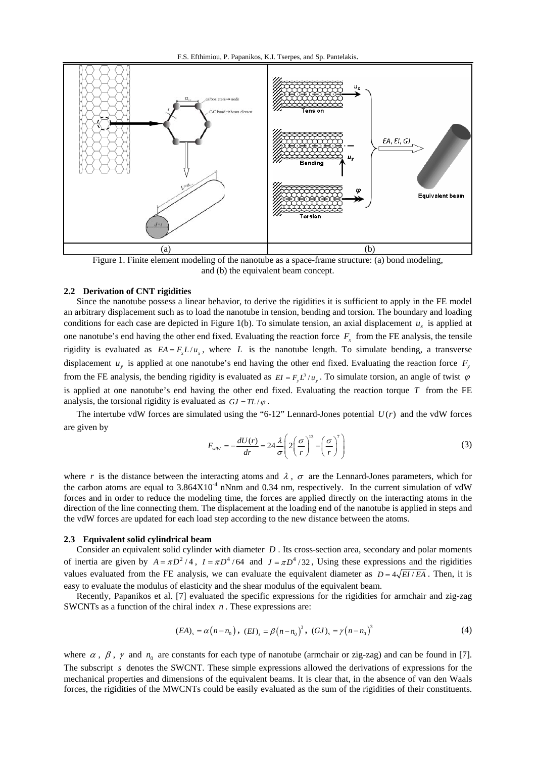

Figure 1. Finite element modeling of the nanotube as a space-frame structure: (a) bond modeling, and (b) the equivalent beam concept.

## **2.2 Derivation of CNT rigidities**

Since the nanotube possess a linear behavior, to derive the rigidities it is sufficient to apply in the FE model an arbitrary displacement such as to load the nanotube in tension, bending and torsion. The boundary and loading conditions for each case are depicted in Figure 1(b). To simulate tension, an axial displacement  $u<sub>x</sub>$  is applied at one nanotube's end having the other end fixed. Evaluating the reaction force  $F<sub>x</sub>$  from the FE analysis, the tensile rigidity is evaluated as  $EA = F<sub>x</sub>L/u<sub>x</sub>$ , where *L* is the nanotube length. To simulate bending, a transverse displacement  $u<sub>y</sub>$  is applied at one nanotube's end having the other end fixed. Evaluating the reaction force  $F<sub>y</sub>$ from the FE analysis, the bending rigidity is evaluated as  $EI = F_v L^3 / u_v$ . To simulate torsion, an angle of twist  $\varphi$ is applied at one nanotube's end having the other end fixed. Evaluating the reaction torque *T* from the FE analysis, the torsional rigidity is evaluated as  $GJ = TL / \varphi$ .

The intertube vdW forces are simulated using the "6-12" Lennard-Jones potential  $U(r)$  and the vdW forces are given by<br>  $F_{vdW} = -\frac{dU(r)}{dr} = 24 \frac{\lambda}{r} \left( 2 \left( \frac{\sigma}{r} \right)^{13} - \left( \frac{\sigma}{r} \right)^{7} \right)$ 

$$
F_{vdW} = -\frac{dU(r)}{dr} = 24 \frac{\lambda}{\sigma} \left( 2\left(\frac{\sigma}{r}\right)^{13} - \left(\frac{\sigma}{r}\right)^7 \right)
$$
 (3)

where *r* is the distance between the interacting atoms and  $\lambda$ ,  $\sigma$  are the Lennard-Jones parameters, which for the carbon atoms are equal to  $3.864X10^{-4}$  nNnm and 0.34 nm, respectively. In the current simulation of vdW forces and in order to reduce the modeling time, the forces are applied directly on the interacting atoms in the direction of the line connecting them. The displacement at the loading end of the nanotube is applied in steps and the vdW forces are updated for each load step according to the new distance between the atoms.

#### **2.3 Equivalent solid cylindrical beam**

Consider an equivalent solid cylinder with diameter *D* . Its cross-section area, secondary and polar moments of inertia are given by  $A = \pi D^2 / 4$ ,  $I = \pi D^4 / 64$  and  $J = \pi D^4 / 32$ , Using these expressions and the rigidities values evaluated from the FE analysis, we can evaluate the equivalent diameter as  $D = 4\sqrt{EI/EA}$ . Then, it is easy to evaluate the modulus of elasticity and the shear modulus of the equivalent beam.

Recently, Papanikos et al. [7] evaluated the specific expressions for the rigidities for armchair and zig-zag SWCNTs as a function of the chiral index *n* . These expressions are:

$$
(EA)_s = \alpha (n - n_0), (EI)_s = \beta (n - n_0)^3, (GJ)_s = \gamma (n - n_0)^3
$$
 (4)

where  $\alpha$ ,  $\beta$ ,  $\gamma$  and  $n_0$  are constants for each type of nanotube (armchair or zig-zag) and can be found in [7]. The subscript *s* denotes the SWCNT. These simple expressions allowed the derivations of expressions for the mechanical properties and dimensions of the equivalent beams. It is clear that, in the absence of van den Waals forces, the rigidities of the MWCNTs could be easily evaluated as the sum of the rigidities of their constituents.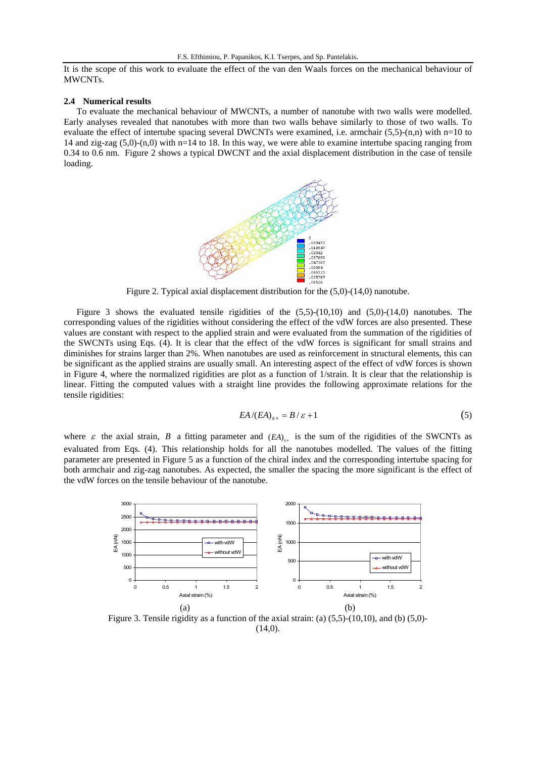It is the scope of this work to evaluate the effect of the van den Waals forces on the mechanical behaviour of MWCNTs.

#### **2.4 Numerical results**

To evaluate the mechanical behaviour of MWCNTs, a number of nanotube with two walls were modelled. Early analyses revealed that nanotubes with more than two walls behave similarly to those of two walls. To evaluate the effect of intertube spacing several DWCNTs were examined, i.e. armchair (5,5)-(n,n) with n=10 to 14 and zig-zag (5,0)-(n,0) with n=14 to 18. In this way, we were able to examine intertube spacing ranging from 0.34 to 0.6 nm. Figure 2 shows a typical DWCNT and the axial displacement distribution in the case of tensile loading.



Figure 2. Typical axial displacement distribution for the (5,0)-(14,0) nanotube.

Figure 3 shows the evaluated tensile rigidities of the  $(5,5)-(10,10)$  and  $(5,0)-(14,0)$  nanotubes. The corresponding values of the rigidities without considering the effect of the vdW forces are also presented. These values are constant with respect to the applied strain and were evaluated from the summation of the rigidities of the SWCNTs using Eqs. (4). It is clear that the effect of the vdW forces is significant for small strains and diminishes for strains larger than 2%. When nanotubes are used as reinforcement in structural elements, this can be significant as the applied strains are usually small. An interesting aspect of the effect of vdW forces is shown in Figure 4, where the normalized rigidities are plot as a function of 1/strain. It is clear that the relationship is linear. Fitting the computed values with a straight line provides the following approximate relations for the tensile rigidities:

$$
EA/(EA)_{s+} = B/\varepsilon + 1\tag{5}
$$

where  $\varepsilon$  the axial strain, *B* a fitting parameter and  $(EA)_{s+}$  is the sum of the rigidities of the SWCNTs as evaluated from Eqs. (4). This relationship holds for all the nanotubes modelled. The values of the fitting parameter are presented in Figure 5 as a function of the chiral index and the corresponding intertube spacing for both armchair and zig-zag nanotubes. As expected, the smaller the spacing the more significant is the effect of the vdW forces on the tensile behaviour of the nanotube.



Figure 3. Tensile rigidity as a function of the axial strain: (a)  $(5,5)$ - $(10,10)$ , and (b)  $(5,0)$ - $(14,0)$ .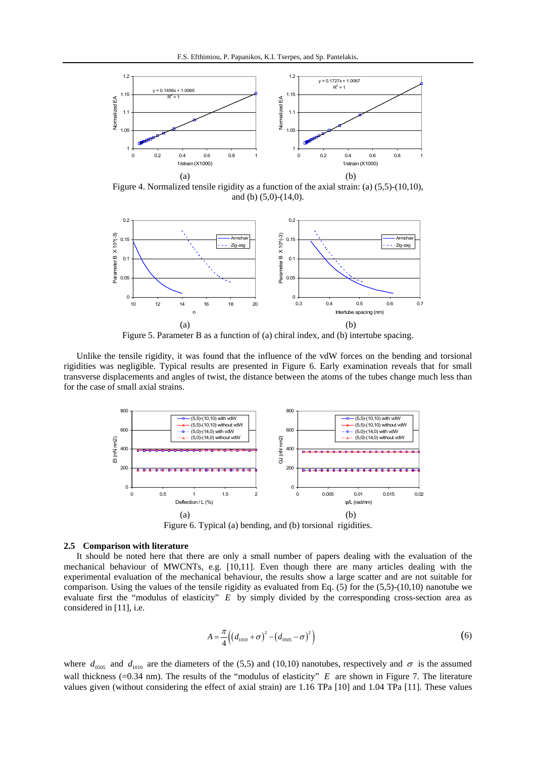

Figure 4. Normalized tensile rigidity as a function of the axial strain: (a) (5,5)-(10,10), and (b) (5,0)-(14,0).



Figure 5. Parameter B as a function of (a) chiral index, and (b) intertube spacing.

Unlike the tensile rigidity, it was found that the influence of the vdW forces on the bending and torsional rigidities was negligible. Typical results are presented in Figure 6. Early examination reveals that for small transverse displacements and angles of twist, the distance between the atoms of the tubes change much less than for the case of small axial strains.



Figure 6. Typical (a) bending, and (b) torsional rigidities.

# **2.5 Comparison with literature**

It should be noted here that there are only a small number of papers dealing with the evaluation of the mechanical behaviour of MWCNTs, e.g. [10,11]. Even though there are many articles dealing with the experimental evaluation of the mechanical behaviour, the results show a large scatter and are not suitable for comparison. Using the values of the tensile rigidity as evaluated from Eq. (5) for the (5,5)-(10,10) nanotube we evaluate first the "modulus of elasticity" *E* by simply divided by the corresponding cross-section area as considered in [11], i.e.

$$
A = \frac{\pi}{4} \Big( \big( d_{1010} + \sigma \big)^2 - \big( d_{0505} - \sigma \big)^2 \Big) \tag{6}
$$

where  $d_{0.05}$  and  $d_{1010}$  are the diameters of the (5,5) and (10,10) nanotubes, respectively and  $\sigma$  is the assumed wall thickness (=0.34 nm). The results of the "modulus of elasticity" *E* are shown in Figure 7. The literature values given (without considering the effect of axial strain) are 1.16 TPa [10] and 1.04 TPa [11]. These values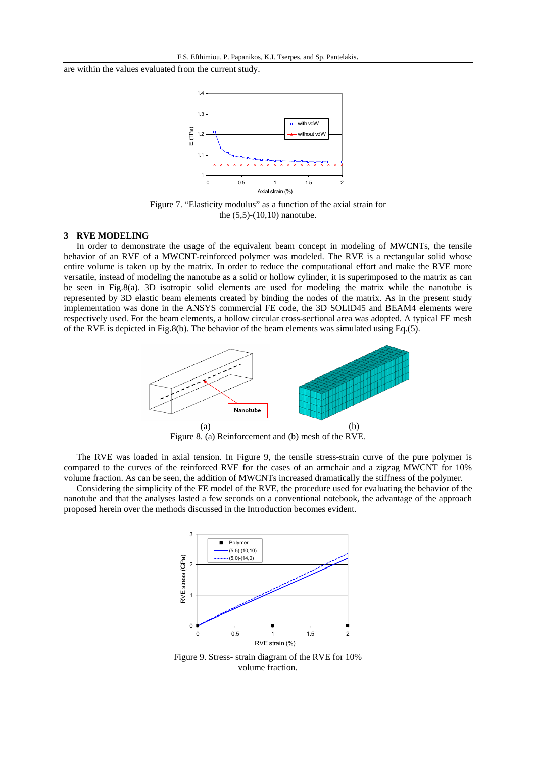are within the values evaluated from the current study.



Figure 7. "Elasticity modulus" as a function of the axial strain for the (5,5)-(10,10) nanotube.

## **3 RVE MODELING**

In order to demonstrate the usage of the equivalent beam concept in modeling of MWCNTs, the tensile behavior of an RVE of a MWCNT-reinforced polymer was modeled. The RVE is a rectangular solid whose entire volume is taken up by the matrix. In order to reduce the computational effort and make the RVE more versatile, instead of modeling the nanotube as a solid or hollow cylinder, it is superimposed to the matrix as can be seen in Fig.8(a). 3D isotropic solid elements are used for modeling the matrix while the nanotube is represented by 3D elastic beam elements created by binding the nodes of the matrix. As in the present study implementation was done in the ANSYS commercial FE code, the 3D SOLID45 and BEAM4 elements were respectively used. For the beam elements, a hollow circular cross-sectional area was adopted. A typical FE mesh of the RVE is depicted in Fig.8(b). The behavior of the beam elements was simulated using Eq. $(5)$ .



Figure 8. (a) Reinforcement and (b) mesh of the RVE.

The RVE was loaded in axial tension. In Figure 9, the tensile stress-strain curve of the pure polymer is compared to the curves of the reinforced RVE for the cases of an armchair and a zigzag MWCNT for 10% volume fraction. As can be seen, the addition of MWCNTs increased dramatically the stiffness of the polymer.

Considering the simplicity of the FE model of the RVE, the procedure used for evaluating the behavior of the nanotube and that the analyses lasted a few seconds on a conventional notebook, the advantage of the approach proposed herein over the methods discussed in the Introduction becomes evident.



Figure 9. Stress- strain diagram of the RVE for 10% volume fraction.